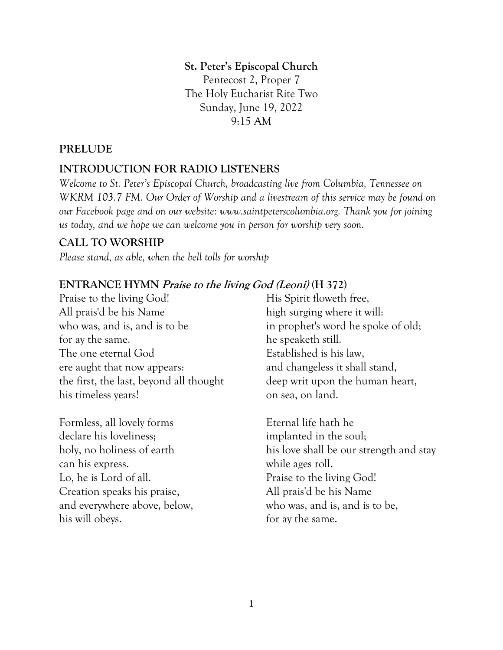#### **St. Peter's Episcopal Church**

Pentecost 2, Proper 7 The Holy Eucharist Rite Two Sunday, June 19, 2022 9:15 AM

#### **PRELUDE**

#### **INTRODUCTION FOR RADIO LISTENERS**

*Welcome to St. Peter's Episcopal Church, broadcasting live from Columbia, Tennessee on WKRM 103.7 FM. Our Order of Worship and a livestream of this service may be found on our Facebook page and on our website: www.saintpeterscolumbia.org. Thank you for joining us today, and we hope we can welcome you in person for worship very soon.*

#### **CALL TO WORSHIP**

*Please stand, as able, when the bell tolls for worship*

#### **ENTRANCE HYMN Praise to the living God (Leoni) (H 372)**

Praise to the living God! All prais'd be his Name who was, and is, and is to be for ay the same. The one eternal God ere aught that now appears: the first, the last, beyond all thought his timeless years!

Formless, all lovely forms declare his loveliness; holy, no holiness of earth can his express. Lo, he is Lord of all. Creation speaks his praise, and everywhere above, below, his will obeys.

His Spirit floweth free, high surging where it will: in prophet's word he spoke of old; he speaketh still. Established is his law, and changeless it shall stand, deep writ upon the human heart, on sea, on land.

Eternal life hath he implanted in the soul; his love shall be our strength and stay while ages roll. Praise to the living God! All prais'd be his Name who was, and is, and is to be, for ay the same.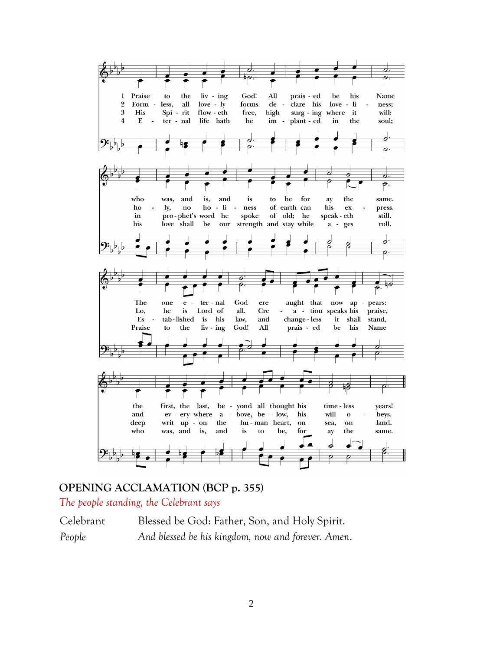

#### **OPENING ACCLAMATION (BCP p. 355)**

*The people standing, the Celebrant says*

Celebrant Blessed be God: Father, Son, and Holy Spirit. *People And blessed be his kingdom, now and forever. Amen*.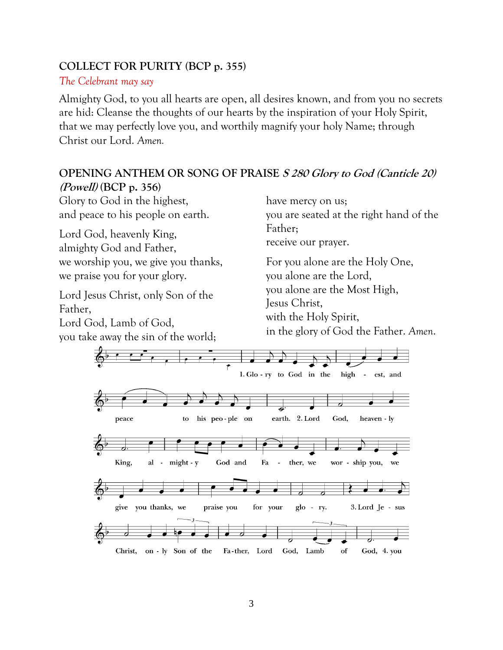#### **COLLECT FOR PURITY (BCP p. 355)**

#### *The Celebrant may say*

Almighty God, to you all hearts are open, all desires known, and from you no secrets are hid: Cleanse the thoughts of our hearts by the inspiration of your Holy Spirit, that we may perfectly love you, and worthily magnify your holy Name; through Christ our Lord. *Amen.*

#### **OPENING ANTHEM OR SONG OF PRAISE S 280 Glory to God (Canticle 20) (Powell) (BCP p. 356)**

Glory to God in the highest, and peace to his people on earth.

Lord God, heavenly King, almighty God and Father, we worship you, we give you thanks, we praise you for your glory.

Lord Jesus Christ, only Son of the Father, Lord God, Lamb of God, you take away the sin of the world; have mercy on us;

you are seated at the right hand of the Father;

receive our prayer.

For you alone are the Holy One, you alone are the Lord, you alone are the Most High, Jesus Christ, with the Holy Spirit, in the glory of God the Father. *Amen*.

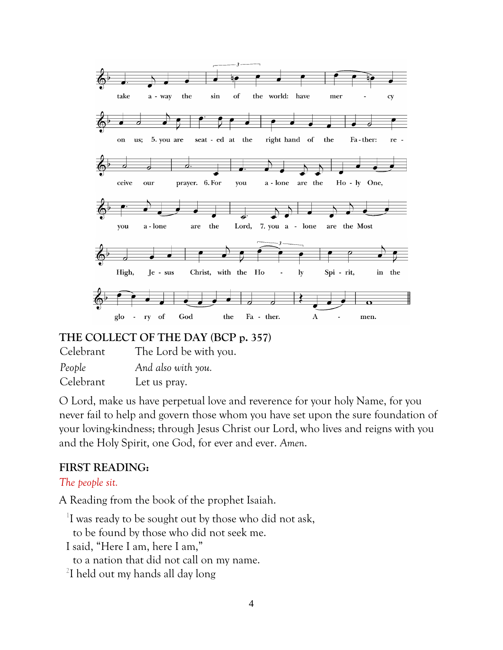

#### **THE COLLECT OF THE DAY (BCP p. 357)**

Celebrant The Lord be with you. *People And also with you.* Celebrant Let us pray.

O Lord, make us have perpetual love and reverence for your holy Name, for you never fail to help and govern those whom you have set upon the sure foundation of your loving-kindness; through Jesus Christ our Lord, who lives and reigns with you and the Holy Spirit, one God, for ever and ever. *Amen*.

#### **FIRST READING:**

#### *The people sit.*

A Reading from the book of the prophet Isaiah.

<sup>1</sup>I was ready to be sought out by those who did not ask,

to be found by those who did not seek me.

- I said, "Here I am, here I am,"
	- to a nation that did not call on my name.
- <sup>2</sup>I held out my hands all day long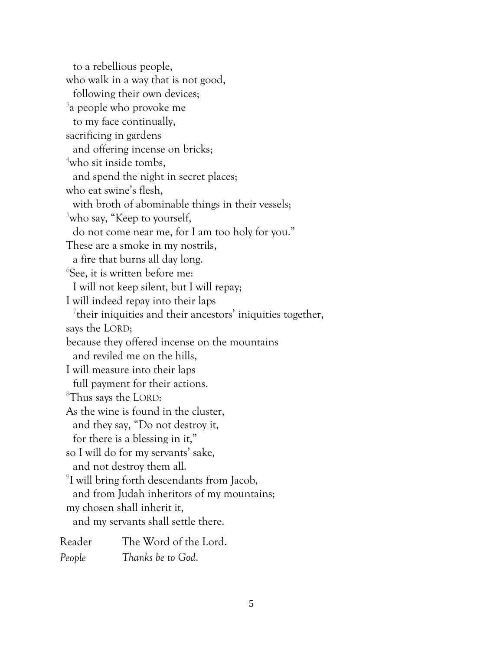to a rebellious people, who walk in a way that is not good, following their own devices; 3 a people who provoke me to my face continually, sacrificing in gardens and offering incense on bricks; <sup>4</sup>who sit inside tombs, and spend the night in secret places; who eat swine's flesh, with broth of abominable things in their vessels;  $5$ who say, "Keep to yourself, do not come near me, for I am too holy for you." These are a smoke in my nostrils, a fire that burns all day long. 6 See, it is written before me: I will not keep silent, but I will repay; I will indeed repay into their laps <sup>7</sup> their iniquities and their ancestors' iniquities together, says the LORD; because they offered incense on the mountains and reviled me on the hills, I will measure into their laps full payment for their actions. <sup>8</sup>Thus says the LORD: As the wine is found in the cluster, and they say, "Do not destroy it, for there is a blessing in it," so I will do for my servants' sake, and not destroy them all. 9 I will bring forth descendants from Jacob, and from Judah inheritors of my mountains; my chosen shall inherit it, and my servants shall settle there. Reader The Word of the Lord. *People Thanks be to God*.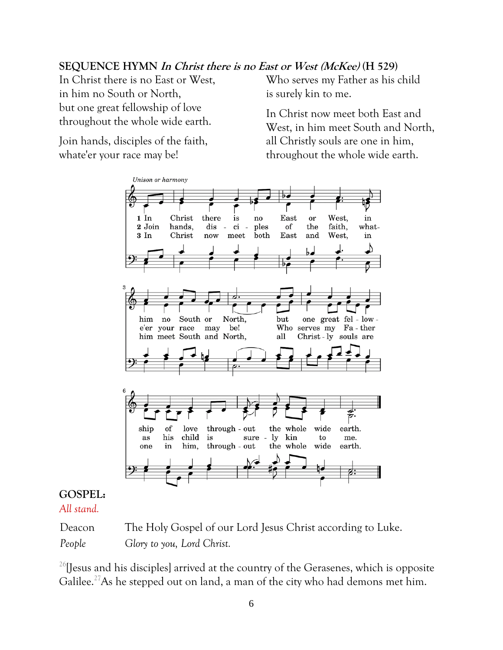#### **SEQUENCE HYMN In Christ there is no East or West (McKee) (H 529)**

In Christ there is no East or West, in him no South or North, but one great fellowship of love throughout the whole wide earth.

Join hands, disciples of the faith, whate'er your race may be!

Who serves my Father as his child is surely kin to me.

In Christ now meet both East and West, in him meet South and North, all Christly souls are one in him, throughout the whole wide earth.



## **GOSPEL:**

*All stand.*

Deacon The Holy Gospel of our Lord Jesus Christ according to Luke. *People Glory to you, Lord Christ.*

 $26$ [Jesus and his disciples] arrived at the country of the Gerasenes, which is opposite Galilee.<sup>27</sup>As he stepped out on land, a man of the city who had demons met him.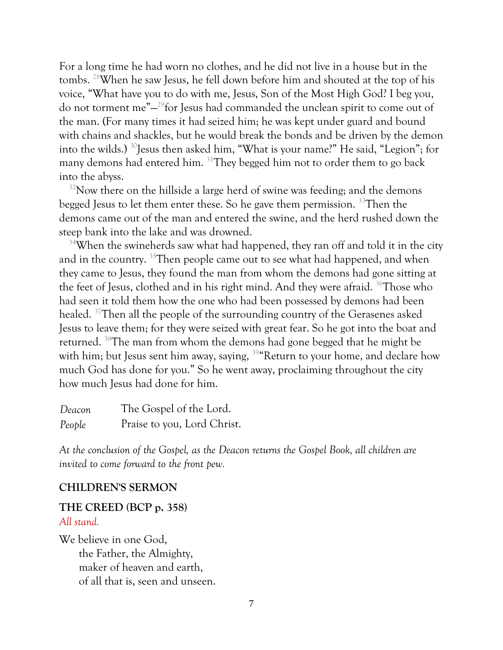For a long time he had worn no clothes, and he did not live in a house but in the tombs. <sup>28</sup>When he saw Jesus, he fell down before him and shouted at the top of his voice, "What have you to do with me, Jesus, Son of the Most High God? I beg you, do not torment me"— <sup>29</sup>for Jesus had commanded the unclean spirit to come out of the man. (For many times it had seized him; he was kept under guard and bound with chains and shackles, but he would break the bonds and be driven by the demon into the wilds.) <sup>30</sup>Jesus then asked him, "What is your name?" He said, "Legion"; for many demons had entered him. <sup>31</sup>They begged him not to order them to go back into the abyss.

 $32$ Now there on the hillside a large herd of swine was feeding; and the demons begged Jesus to let them enter these. So he gave them permission. <sup>33</sup>Then the demons came out of the man and entered the swine, and the herd rushed down the steep bank into the lake and was drowned.

<sup>34</sup>When the swineherds saw what had happened, they ran off and told it in the city and in the country. <sup>35</sup>Then people came out to see what had happened, and when they came to Jesus, they found the man from whom the demons had gone sitting at the feet of Jesus, clothed and in his right mind. And they were afraid. <sup>36</sup>Those who had seen it told them how the one who had been possessed by demons had been healed. <sup>37</sup>Then all the people of the surrounding country of the Gerasenes asked Jesus to leave them; for they were seized with great fear. So he got into the boat and returned. <sup>38</sup>The man from whom the demons had gone begged that he might be with him; but Jesus sent him away, saying, <sup>39</sup> Return to your home, and declare how much God has done for you." So he went away, proclaiming throughout the city how much Jesus had done for him.

| Deacon | The Gospel of the Lord.     |
|--------|-----------------------------|
| People | Praise to you, Lord Christ. |

*At the conclusion of the Gospel, as the Deacon returns the Gospel Book, all children are invited to come forward to the front pew.*

#### **CHILDREN'S SERMON**

#### **THE CREED (BCP p. 358)** *All stand.*

We believe in one God, the Father, the Almighty, maker of heaven and earth, of all that is, seen and unseen.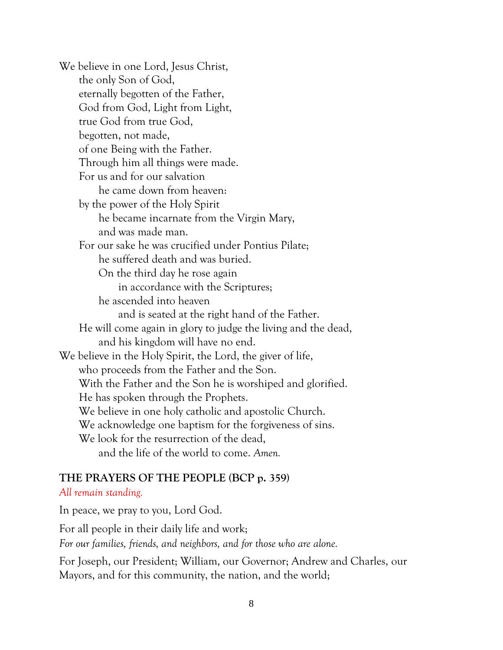We believe in one Lord, Jesus Christ, the only Son of God, eternally begotten of the Father, God from God, Light from Light, true God from true God, begotten, not made, of one Being with the Father. Through him all things were made. For us and for our salvation he came down from heaven: by the power of the Holy Spirit he became incarnate from the Virgin Mary, and was made man. For our sake he was crucified under Pontius Pilate; he suffered death and was buried. On the third day he rose again in accordance with the Scriptures; he ascended into heaven and is seated at the right hand of the Father. He will come again in glory to judge the living and the dead, and his kingdom will have no end. We believe in the Holy Spirit, the Lord, the giver of life, who proceeds from the Father and the Son. With the Father and the Son he is worshiped and glorified. He has spoken through the Prophets. We believe in one holy catholic and apostolic Church. We acknowledge one baptism for the forgiveness of sins. We look for the resurrection of the dead, and the life of the world to come. *Amen.*

#### **THE PRAYERS OF THE PEOPLE (BCP p. 359)**

#### *All remain standing.*

In peace, we pray to you, Lord God.

For all people in their daily life and work;

*For our families, friends, and neighbors, and for those who are alone.*

For Joseph, our President; William, our Governor; Andrew and Charles, our Mayors, and for this community, the nation, and the world;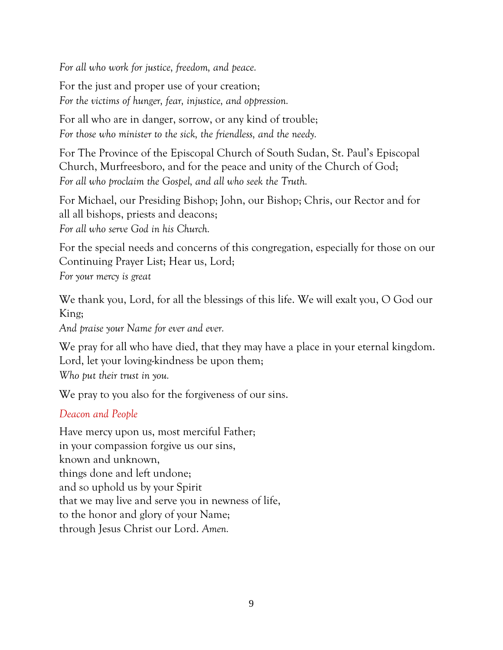*For all who work for justice, freedom, and peace.*

For the just and proper use of your creation; *For the victims of hunger, fear, injustice, and oppression.*

For all who are in danger, sorrow, or any kind of trouble; *For those who minister to the sick, the friendless, and the needy.*

For The Province of the Episcopal Church of South Sudan, St. Paul's Episcopal Church, Murfreesboro, and for the peace and unity of the Church of God; *For all who proclaim the Gospel, and all who seek the Truth.*

For Michael, our Presiding Bishop; John, our Bishop; Chris, our Rector and for all all bishops, priests and deacons; *For all who serve God in his Church.*

For the special needs and concerns of this congregation, especially for those on our Continuing Prayer List; Hear us, Lord;

*For your mercy is great*

We thank you, Lord, for all the blessings of this life. We will exalt you, O God our King;

*And praise your Name for ever and ever.*

We pray for all who have died, that they may have a place in your eternal kingdom. Lord, let your loving-kindness be upon them;

*Who put their trust in you.*

We pray to you also for the forgiveness of our sins.

#### *Deacon and People*

Have mercy upon us, most merciful Father; in your compassion forgive us our sins, known and unknown, things done and left undone; and so uphold us by your Spirit that we may live and serve you in newness of life, to the honor and glory of your Name; through Jesus Christ our Lord. *Amen.*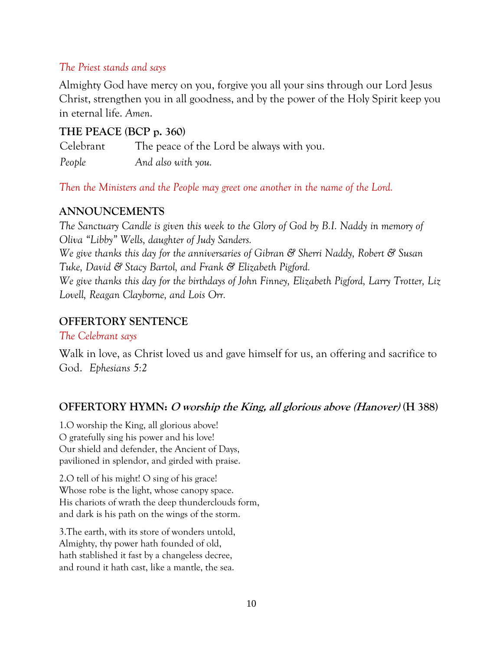#### *The Priest stands and says*

Almighty God have mercy on you, forgive you all your sins through our Lord Jesus Christ, strengthen you in all goodness, and by the power of the Holy Spirit keep you in eternal life. *Amen*.

#### **THE PEACE (BCP p. 360)**

Celebrant The peace of the Lord be always with you. *People And also with you.*

*Then the Ministers and the People may greet one another in the name of the Lord.*

#### **ANNOUNCEMENTS**

*The Sanctuary Candle is given this week to the Glory of God by B.I. Naddy in memory of Oliva "Libby" Wells, daughter of Judy Sanders. We give thanks this day for the anniversaries of Gibran & Sherri Naddy, Robert & Susan Tuke, David & Stacy Bartol, and Frank & Elizabeth Pigford. We give thanks this day for the birthdays of John Finney, Elizabeth Pigford, Larry Trotter, Liz Lovell, Reagan Clayborne, and Lois Orr.*

#### **OFFERTORY SENTENCE**

#### *The Celebrant says*

Walk in love, as Christ loved us and gave himself for us, an offering and sacrifice to God. *Ephesians 5:2*

#### **OFFERTORY HYMN: O worship the King, all glorious above (Hanover) (H 388)**

1.O worship the King, all glorious above! O gratefully sing his power and his love! Our shield and defender, the Ancient of Days, pavilioned in splendor, and girded with praise.

2.O tell of his might! O sing of his grace! Whose robe is the light, whose canopy space. His chariots of wrath the deep thunderclouds form, and dark is his path on the wings of the storm.

3.The earth, with its store of wonders untold, Almighty, thy power hath founded of old, hath stablished it fast by a changeless decree, and round it hath cast, like a mantle, the sea.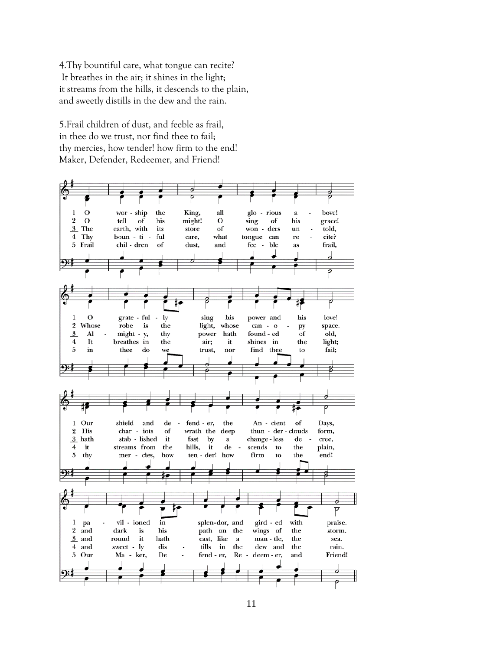4.Thy bountiful care, what tongue can recite? It breathes in the air; it shines in the light; it streams from the hills, it descends to the plain, and sweetly distills in the dew and the rain.

5.Frail children of dust, and feeble as frail, in thee do we trust, nor find thee to fail; thy mercies, how tender! how firm to the end! Maker, Defender, Redeemer, and Friend!

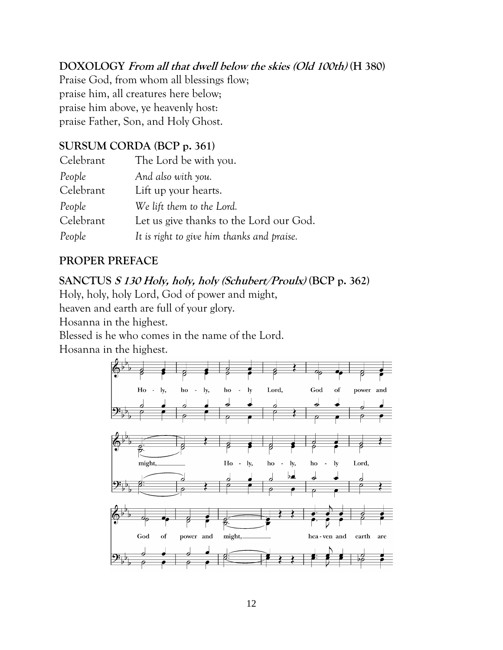#### **DOXOLOGY From all that dwell below the skies (Old 100th) (H 380)**

Praise God, from whom all blessings flow; praise him, all creatures here below; praise him above, ye heavenly host: praise Father, Son, and Holy Ghost.

#### **SURSUM CORDA (BCP p. 361)**

| Celebrant | The Lord be with you.                      |
|-----------|--------------------------------------------|
| People    | And also with you.                         |
| Celebrant | Lift up your hearts.                       |
| People    | We lift them to the Lord.                  |
| Celebrant | Let us give thanks to the Lord our God.    |
| People    | It is right to give him thanks and praise. |

#### **PROPER PREFACE**

#### **SANCTUS S 130 Holy, holy, holy (Schubert/Proulx) (BCP p. 362)**

Holy, holy, holy Lord, God of power and might,

heaven and earth are full of your glory.

Hosanna in the highest.

Blessed is he who comes in the name of the Lord.

Hosanna in the highest.

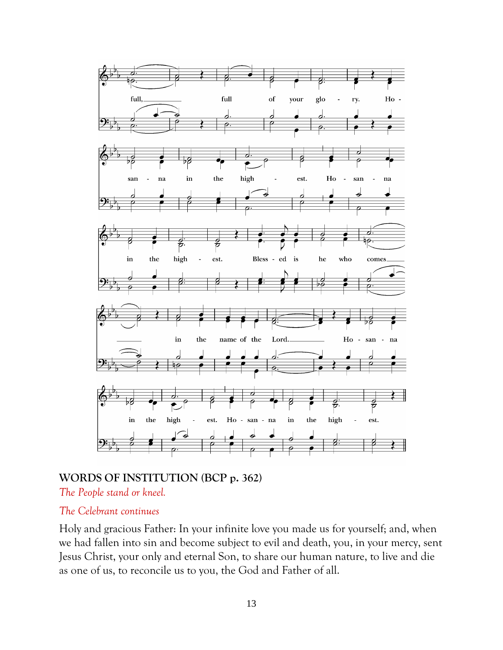

#### **WORDS OF INSTITUTION (BCP p. 362)**

*The People stand or kneel.*

#### *The Celebrant continues*

Holy and gracious Father: In your infinite love you made us for yourself; and, when we had fallen into sin and become subject to evil and death, you, in your mercy, sent Jesus Christ, your only and eternal Son, to share our human nature, to live and die as one of us, to reconcile us to you, the God and Father of all.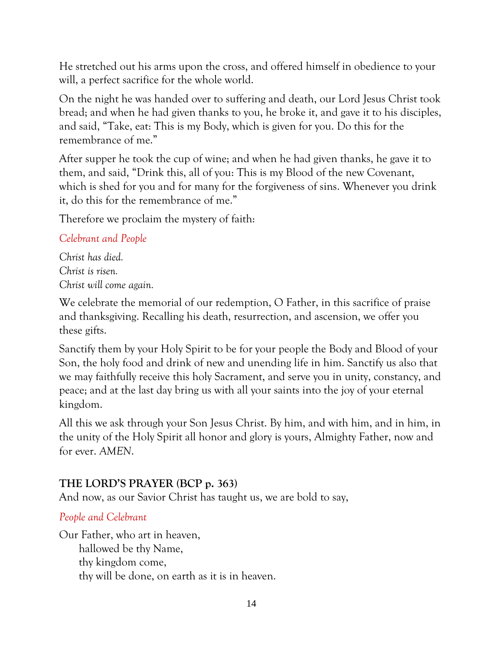He stretched out his arms upon the cross, and offered himself in obedience to your will, a perfect sacrifice for the whole world.

On the night he was handed over to suffering and death, our Lord Jesus Christ took bread; and when he had given thanks to you, he broke it, and gave it to his disciples, and said, "Take, eat: This is my Body, which is given for you. Do this for the remembrance of me."

After supper he took the cup of wine; and when he had given thanks, he gave it to them, and said, "Drink this, all of you: This is my Blood of the new Covenant, which is shed for you and for many for the forgiveness of sins. Whenever you drink it, do this for the remembrance of me."

Therefore we proclaim the mystery of faith:

#### *Celebrant and People*

*Christ has died. Christ is risen. Christ will come again.*

We celebrate the memorial of our redemption, O Father, in this sacrifice of praise and thanksgiving. Recalling his death, resurrection, and ascension, we offer you these gifts.

Sanctify them by your Holy Spirit to be for your people the Body and Blood of your Son, the holy food and drink of new and unending life in him. Sanctify us also that we may faithfully receive this holy Sacrament, and serve you in unity, constancy, and peace; and at the last day bring us with all your saints into the joy of your eternal kingdom.

All this we ask through your Son Jesus Christ. By him, and with him, and in him, in the unity of the Holy Spirit all honor and glory is yours, Almighty Father, now and for ever. *AMEN*.

#### **THE LORD'S PRAYER (BCP p. 363)**

And now, as our Savior Christ has taught us, we are bold to say,

#### *People and Celebrant*

Our Father, who art in heaven, hallowed be thy Name, thy kingdom come, thy will be done, on earth as it is in heaven.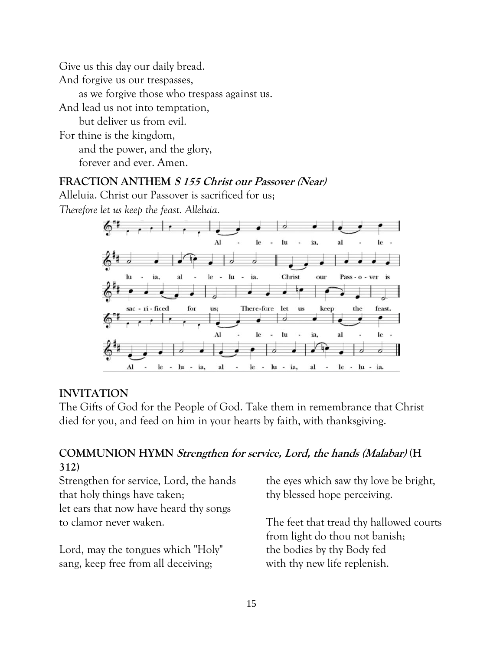Give us this day our daily bread. And forgive us our trespasses, as we forgive those who trespass against us. And lead us not into temptation, but deliver us from evil. For thine is the kingdom, and the power, and the glory, forever and ever. Amen.

#### **FRACTION ANTHEM S 155 Christ our Passover (Near)**

Alleluia. Christ our Passover is sacrificed for us;

*Therefore let us keep the feast. Alleluia.*



#### **INVITATION**

The Gifts of God for the People of God. Take them in remembrance that Christ died for you, and feed on him in your hearts by faith, with thanksgiving.

#### **COMMUNION HYMN Strengthen for service, Lord, the hands (Malabar) (H 312)**

Strengthen for service, Lord, the hands that holy things have taken; let ears that now have heard thy songs to clamor never waken.

Lord, may the tongues which "Holy" sang, keep free from all deceiving;

the eyes which saw thy love be bright, thy blessed hope perceiving.

The feet that tread thy hallowed courts from light do thou not banish; the bodies by thy Body fed with thy new life replenish.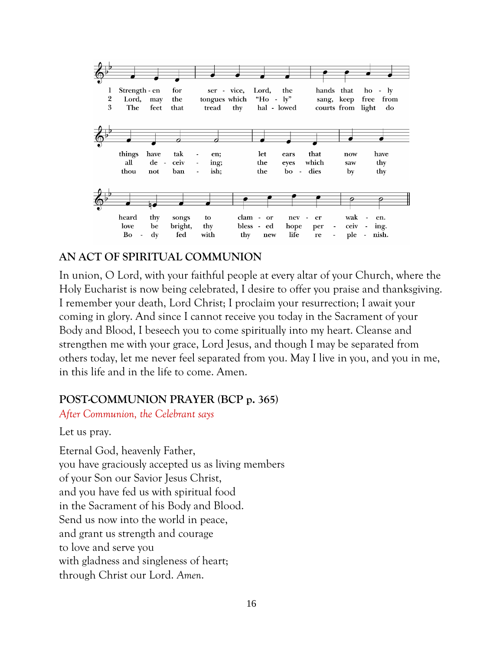

#### **AN ACT OF SPIRITUAL COMMUNION**

In union, O Lord, with your faithful people at every altar of your Church, where the Holy Eucharist is now being celebrated, I desire to offer you praise and thanksgiving. I remember your death, Lord Christ; I proclaim your resurrection; I await your coming in glory. And since I cannot receive you today in the Sacrament of your Body and Blood, I beseech you to come spiritually into my heart. Cleanse and strengthen me with your grace, Lord Jesus, and though I may be separated from others today, let me never feel separated from you. May I live in you, and you in me, in this life and in the life to come. Amen.

#### **POST-COMMUNION PRAYER (BCP p. 365)**

*After Communion, the Celebrant says*

Let us pray.

Eternal God, heavenly Father, you have graciously accepted us as living members of your Son our Savior Jesus Christ, and you have fed us with spiritual food in the Sacrament of his Body and Blood. Send us now into the world in peace, and grant us strength and courage to love and serve you with gladness and singleness of heart; through Christ our Lord. *Amen*.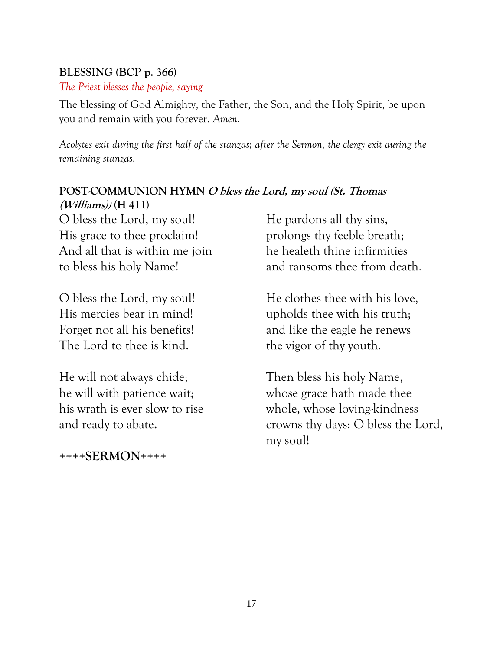#### **BLESSING (BCP p. 366)**

*The Priest blesses the people, saying*

The blessing of God Almighty, the Father, the Son, and the Holy Spirit, be upon you and remain with you forever. *Amen.*

*Acolytes exit during the first half of the stanzas; after the Sermon, the clergy exit during the remaining stanzas.*

#### **POST-COMMUNION HYMN O bless the Lord, my soul (St. Thomas (Williams)) (H 411)**

O bless the Lord, my soul! His grace to thee proclaim! And all that is within me join to bless his holy Name!

O bless the Lord, my soul! His mercies bear in mind! Forget not all his benefits! The Lord to thee is kind.

He will not always chide; he will with patience wait; his wrath is ever slow to rise and ready to abate.

**++++SERMON++++**

He pardons all thy sins, prolongs thy feeble breath; he healeth thine infirmities and ransoms thee from death.

He clothes thee with his love, upholds thee with his truth; and like the eagle he renews the vigor of thy youth.

Then bless his holy Name, whose grace hath made thee whole, whose loving-kindness crowns thy days: O bless the Lord, my soul!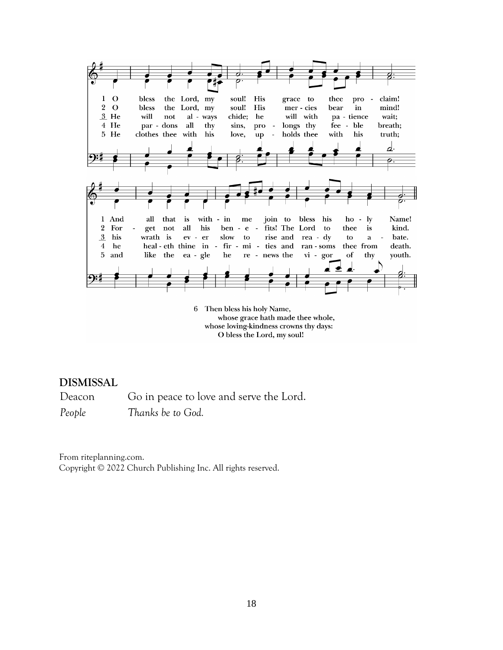

6 Then bless his holy Name, whose grace hath made thee whole, whose loving-kindness crowns thy days: O bless the Lord, my soul!

#### **DISMISSAL**

Deacon Go in peace to love and serve the Lord. *People Thanks be to God.*

From riteplanning.com. Copyright © 2022 Church Publishing Inc. All rights reserved.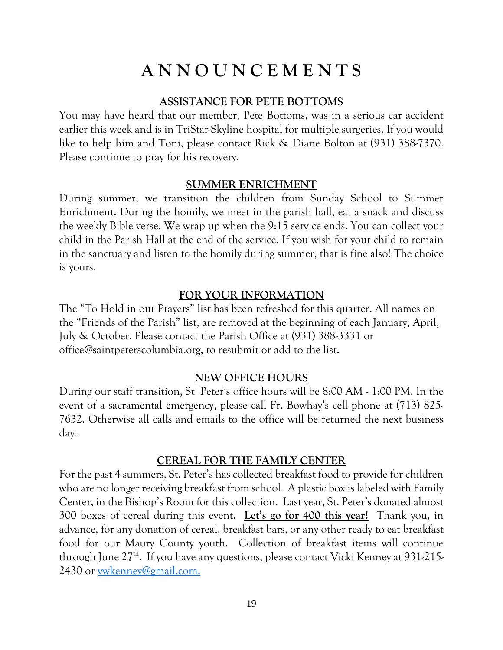## **A N N O U N C E M E N T S**

#### **ASSISTANCE FOR PETE BOTTOMS**

You may have heard that our member, Pete Bottoms, was in a serious car accident earlier this week and is in TriStar-Skyline hospital for multiple surgeries. If you would like to help him and Toni, please contact Rick & Diane Bolton at (931) 388-7370. Please continue to pray for his recovery.

#### **SUMMER ENRICHMENT**

During summer, we transition the children from Sunday School to Summer Enrichment. During the homily, we meet in the parish hall, eat a snack and discuss the weekly Bible verse. We wrap up when the 9:15 service ends. You can collect your child in the Parish Hall at the end of the service. If you wish for your child to remain in the sanctuary and listen to the homily during summer, that is fine also! The choice is yours.

#### **FOR YOUR INFORMATION**

The "To Hold in our Prayers" list has been refreshed for this quarter. All names on the "Friends of the Parish" list, are removed at the beginning of each January, April, July & October. Please contact the Parish Office at (931) 388-3331 or office@saintpeterscolumbia.org, to resubmit or add to the list.

#### **NEW OFFICE HOURS**

During our staff transition, St. Peter's office hours will be 8:00 AM - 1:00 PM. In the event of a sacramental emergency, please call Fr. Bowhay's cell phone at (713) 825- 7632. Otherwise all calls and emails to the office will be returned the next business day.

#### **CEREAL FOR THE FAMILY CENTER**

For the past 4 summers, St. Peter's has collected breakfast food to provide for children who are no longer receiving breakfast from school. A plastic box is labeled with Family Center, in the Bishop's Room for this collection. Last year, St. Peter's donated almost 300 boxes of cereal during this event. **Let's go for 400 this year!** Thank you, in advance, for any donation of cereal, breakfast bars, or any other ready to eat breakfast food for our Maury County youth. Collection of breakfast items will continue through June 27<sup>th</sup>. If you have any questions, please contact Vicki Kenney at 931-215-2430 or [vwkenney@gmail.com.](mailto:vwkenney@gmail.com)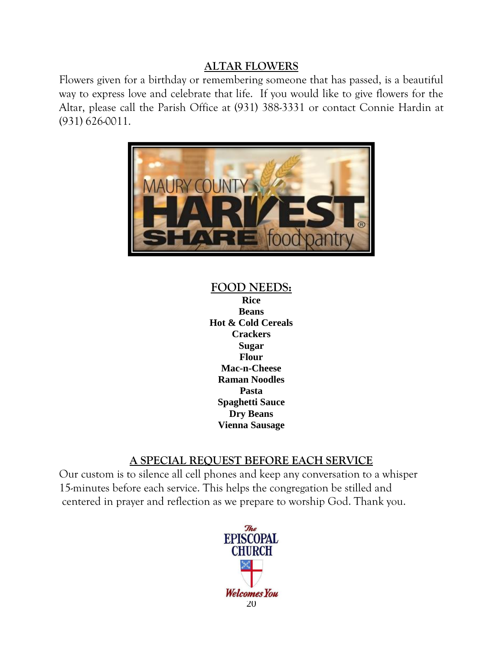#### **ALTAR FLOWERS**

Flowers given for a birthday or remembering someone that has passed, is a beautiful way to express love and celebrate that life. If you would like to give flowers for the Altar, please call the Parish Office at (931) 388-3331 or contact Connie Hardin at (931) 626-0011.



### **FOOD NEEDS:**

**Rice Beans Hot & Cold Cereals Crackers Sugar Flour Mac-n-Cheese Raman Noodles Pasta Spaghetti Sauce Dry Beans Vienna Sausage**

#### **A SPECIAL REQUEST BEFORE EACH SERVICE**

Our custom is to silence all cell phones and keep any conversation to a whisper 15-minutes before each service. This helps the congregation be stilled and centered in prayer and reflection as we prepare to worship God. Thank you.

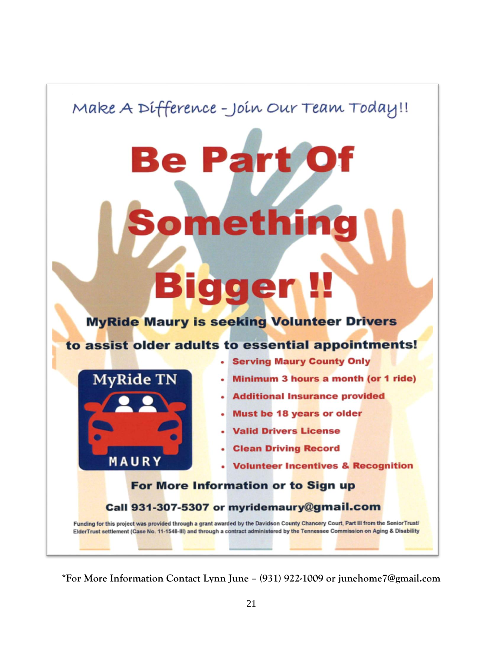Make A Difference - Join Our Team Today!!

**Be Part** 

# **Bigger!!**

**Something** 

**MyRide Maury is seeking Volunteer Drivers** 

#### to assist older adults to essential appointments!



- **Serving Maury County Only**
- Minimum 3 hours a month (or 1 ride)
- Additional Insurance provided
- Must be 18 years or older
- **· Valid Drivers License**
- **Clean Driving Record**
- **Volunteer Incentives & Recognition**

#### For More Information or to Sign up

Call 931-307-5307 or myridemaury@gmail.com

Funding for this project was provided through a grant awarded by the Davidson County Chancery Court, Part III from the Senior Trust/ ElderTrust settlement (Case No. 11-1548-III) and through a contract administered by the Tennessee Commission on Aging & Disability

**\*For More Information Contact Lynn June – (931) 922-1009 or junehome7@gmail.com**